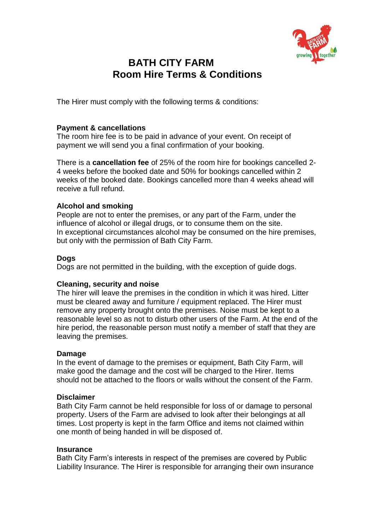

# **BATH CITY FARM Room Hire Terms & Conditions**

The Hirer must comply with the following terms & conditions:

# **Payment & cancellations**

The room hire fee is to be paid in advance of your event. On receipt of payment we will send you a final confirmation of your booking.

There is a **cancellation fee** of 25% of the room hire for bookings cancelled 2- 4 weeks before the booked date and 50% for bookings cancelled within 2 weeks of the booked date. Bookings cancelled more than 4 weeks ahead will receive a full refund.

# **Alcohol and smoking**

People are not to enter the premises, or any part of the Farm, under the influence of alcohol or illegal drugs, or to consume them on the site. In exceptional circumstances alcohol may be consumed on the hire premises, but only with the permission of Bath City Farm.

# **Dogs**

Dogs are not permitted in the building, with the exception of guide dogs.

# **Cleaning, security and noise**

The hirer will leave the premises in the condition in which it was hired. Litter must be cleared away and furniture / equipment replaced. The Hirer must remove any property brought onto the premises. Noise must be kept to a reasonable level so as not to disturb other users of the Farm. At the end of the hire period, the reasonable person must notify a member of staff that they are leaving the premises.

# **Damage**

In the event of damage to the premises or equipment, Bath City Farm, will make good the damage and the cost will be charged to the Hirer. Items should not be attached to the floors or walls without the consent of the Farm.

# **Disclaimer**

Bath City Farm cannot be held responsible for loss of or damage to personal property. Users of the Farm are advised to look after their belongings at all times. Lost property is kept in the farm Office and items not claimed within one month of being handed in will be disposed of.

#### **Insurance**

Bath City Farm's interests in respect of the premises are covered by Public Liability Insurance. The Hirer is responsible for arranging their own insurance